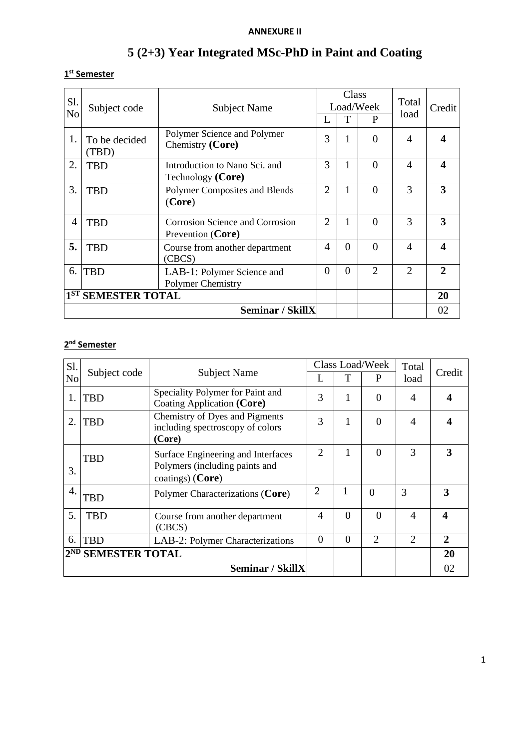## **ANNEXURE II**

# **5 (2+3) Year Integrated MSc-PhD in Paint and Coating**

#### **1 st Semester**

| Sl.<br>N <sub>o</sub> | Subject code           | <b>Subject Name</b>                                  | Class<br>Load/Week<br>T<br>P |          | Total<br>load  | Credit                      |                             |
|-----------------------|------------------------|------------------------------------------------------|------------------------------|----------|----------------|-----------------------------|-----------------------------|
| 1.                    | To be decided<br>(TBD) | Polymer Science and Polymer<br>Chemistry (Core)      | 3                            | 1        | $\Omega$       | $\overline{\mathcal{A}}$    |                             |
| 2.                    | <b>TBD</b>             | Introduction to Nano Sci. and<br>Technology (Core)   | 3                            | 1        | $\Omega$       | 4                           | 4                           |
| 3.                    | <b>TBD</b>             | Polymer Composites and Blends<br>(Core)              | $\overline{2}$               | 1        | $\theta$       | 3                           | 3                           |
| $\overline{4}$        | <b>TBD</b>             | Corrosion Science and Corrosion<br>Prevention (Core) | $\overline{2}$               | 1        | $\Omega$       | 3                           | 3                           |
| 5.                    | <b>TBD</b>             | Course from another department<br>(CBCS)             | $\overline{\mathcal{A}}$     | $\Omega$ | $\Omega$       | $\overline{A}$              | $\boldsymbol{\Delta}$       |
| 6.                    | <b>TBD</b>             | LAB-1: Polymer Science and<br>Polymer Chemistry      | $\Omega$                     | $\Omega$ | $\overline{2}$ | $\mathcal{D}_{\mathcal{L}}$ | $\mathcal{D}_{\mathcal{L}}$ |
| 1ST SEMESTER TOTAL    |                        |                                                      |                              |          |                | 20                          |                             |
|                       | Seminar / SkillX       |                                                      |                              |          |                |                             | 02                          |

#### **2 nd Semester**

| Sl.             |                         |                                                                                          |                |              | Class Load/Week | Total<br>load  | Credit       |
|-----------------|-------------------------|------------------------------------------------------------------------------------------|----------------|--------------|-----------------|----------------|--------------|
| N <sub>o</sub>  | Subject code            | <b>Subject Name</b>                                                                      |                | T            | P               |                |              |
| 1.              | <b>TBD</b>              | Speciality Polymer for Paint and<br>Coating Application (Core)                           | 3              | $\mathbf{1}$ | $\theta$        | $\overline{4}$ | 4            |
| 2.              | <b>TBD</b>              | Chemistry of Dyes and Pigments<br>including spectroscopy of colors<br>(Core)             | 3              |              | $\overline{0}$  | 4              |              |
| 3.              | <b>TBD</b>              | Surface Engineering and Interfaces<br>Polymers (including paints and<br>coatings) (Core) | $\overline{2}$ | 1            | $\theta$        | 3              | 3            |
| 4.              | <b>TBD</b>              | Polymer Characterizations (Core)                                                         | $\overline{2}$ |              | $\theta$        | 3              | 3            |
| 5.              | <b>TBD</b>              | Course from another department<br>(CBCS)                                                 | $\overline{4}$ | $\theta$     | $\theta$        | 4              | 4            |
| 6.              | <b>TBD</b>              | LAB-2: Polymer Characterizations                                                         | $\Omega$       | $\theta$     | $\overline{2}$  | $\overline{2}$ | $\mathbf{2}$ |
| 2 <sup>ND</sup> | <b>SEMESTER TOTAL</b>   |                                                                                          |                |              |                 |                | 20           |
|                 | <b>Seminar / SkillX</b> |                                                                                          |                |              |                 |                | 02           |